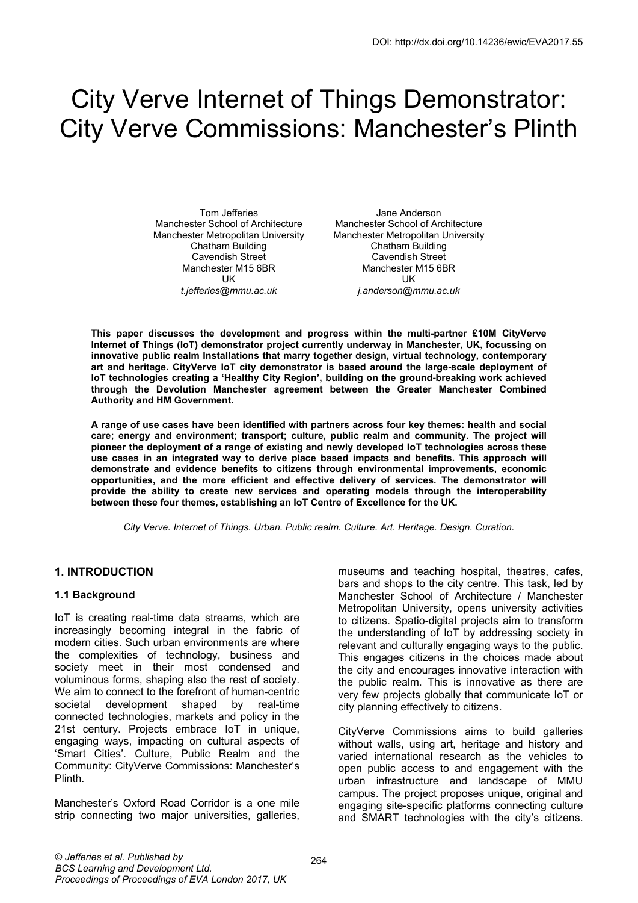# City Verve Internet of Things Demonstrator: City Verve Commissions: Manchester's Plinth

Tom Jefferies Manchester School of Architecture Manchester Metropolitan University Chatham Building Cavendish Street Manchester M15 6BR UK *t.jefferies@mmu.ac.uk* 

Jane Anderson Manchester School of Architecture Manchester Metropolitan University Chatham Building Cavendish Street Manchester M15 6BR UK *j.anderson@mmu.ac.uk* 

**This paper discusses the development and progress within the multi-partner £10M CityVerve Internet of Things (IoT) demonstrator project currently underway in Manchester, UK, focussing on innovative public realm Installations that marry together design, virtual technology, contemporary art and heritage. CityVerve IoT city demonstrator is based around the large-scale deployment of IoT technologies creating a 'Healthy City Region', building on the ground-breaking work achieved through the Devolution Manchester agreement between the Greater Manchester Combined Authority and HM Government.** 

**A range of use cases have been identified with partners across four key themes: health and social care; energy and environment; transport; culture, public realm and community. The project will pioneer the deployment of a range of existing and newly developed IoT technologies across these use cases in an integrated way to derive place based impacts and benefits. This approach will demonstrate and evidence benefits to citizens through environmental improvements, economic opportunities, and the more efficient and effective delivery of services. The demonstrator will provide the ability to create new services and operating models through the interoperability between these four themes, establishing an IoT Centre of Excellence for the UK.** 

*City Verve. Internet of Things. Urban. Public realm. Culture. Art. Heritage. Design. Curation.* 

## **1. INTRODUCTION**

#### **1.1 Background**

IoT is creating real-time data streams, which are increasingly becoming integral in the fabric of modern cities. Such urban environments are where the complexities of technology, business and society meet in their most condensed and voluminous forms, shaping also the rest of society. We aim to connect to the forefront of human-centric societal development shaped by real-time connected technologies, markets and policy in the 21st century. Projects embrace IoT in unique, engaging ways, impacting on cultural aspects of 'Smart Cities'. Culture, Public Realm and the Community: CityVerve Commissions: Manchester's Plinth.

Manchester's Oxford Road Corridor is a one mile strip connecting two major universities, galleries, museums and teaching hospital, theatres, cafes, bars and shops to the city centre. This task, led by Manchester School of Architecture / Manchester Metropolitan University, opens university activities to citizens. Spatio-digital projects aim to transform the understanding of IoT by addressing society in relevant and culturally engaging ways to the public. This engages citizens in the choices made about the city and encourages innovative interaction with the public realm. This is innovative as there are very few projects globally that communicate IoT or city planning effectively to citizens.

CityVerve Commissions aims to build galleries without walls, using art, heritage and history and varied international research as the vehicles to open public access to and engagement with the urban infrastructure and landscape of MMU campus. The project proposes unique, original and engaging site-specific platforms connecting culture and SMART technologies with the city's citizens.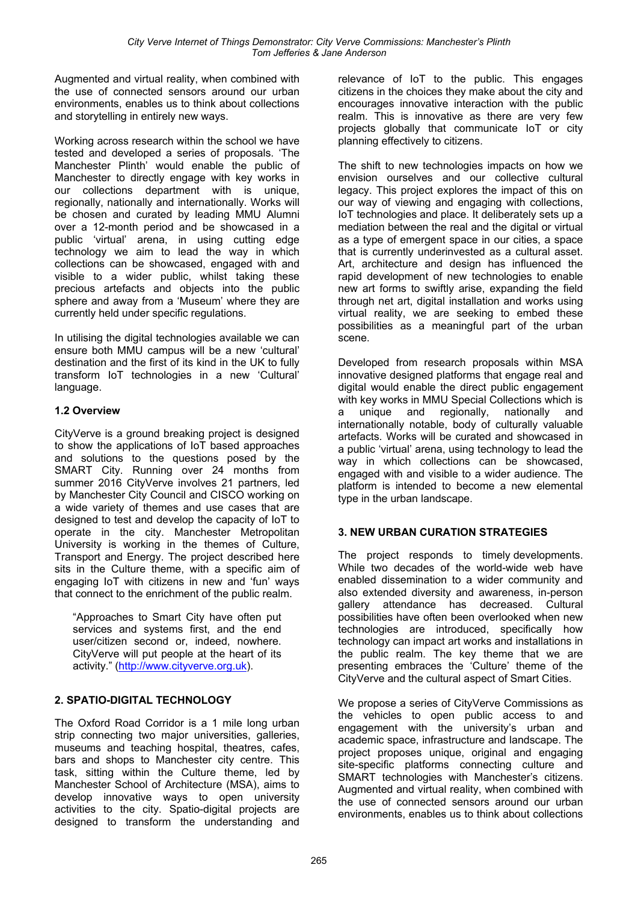Augmented and virtual reality, when combined with the use of connected sensors around our urban environments, enables us to think about collections and storytelling in entirely new ways.

Working across research within the school we have tested and developed a series of proposals. 'The Manchester Plinth' would enable the public of Manchester to directly engage with key works in our collections department with is unique, regionally, nationally and internationally. Works will be chosen and curated by leading MMU Alumni over a 12-month period and be showcased in a public 'virtual' arena, in using cutting edge technology we aim to lead the way in which collections can be showcased, engaged with and visible to a wider public, whilst taking these precious artefacts and objects into the public sphere and away from a 'Museum' where they are currently held under specific regulations.

In utilising the digital technologies available we can ensure both MMU campus will be a new 'cultural' destination and the first of its kind in the UK to fully transform IoT technologies in a new 'Cultural' language.

# **1.2 Overview**

CityVerve is a ground breaking project is designed to show the applications of IoT based approaches and solutions to the questions posed by the SMART City. Running over 24 months from summer 2016 CityVerve involves 21 partners, led by Manchester City Council and CISCO working on a wide variety of themes and use cases that are designed to test and develop the capacity of IoT to operate in the city. Manchester Metropolitan University is working in the themes of Culture, Transport and Energy. The project described here sits in the Culture theme, with a specific aim of engaging IoT with citizens in new and 'fun' ways that connect to the enrichment of the public realm.

"Approaches to Smart City have often put services and systems first, and the end user/citizen second or, indeed, nowhere. CityVerve will put people at the heart of its activity." (http://www.cityverve.org.uk).

# **2. SPATIO-DIGITAL TECHNOLOGY**

The Oxford Road Corridor is a 1 mile long urban strip connecting two major universities, galleries, museums and teaching hospital, theatres, cafes, bars and shops to Manchester city centre. This task, sitting within the Culture theme, led by Manchester School of Architecture (MSA), aims to develop innovative ways to open university activities to the city. Spatio-digital projects are designed to transform the understanding and

relevance of IoT to the public. This engages citizens in the choices they make about the city and encourages innovative interaction with the public realm. This is innovative as there are very few projects globally that communicate IoT or city planning effectively to citizens.

The shift to new technologies impacts on how we envision ourselves and our collective cultural legacy. This project explores the impact of this on our way of viewing and engaging with collections, IoT technologies and place. It deliberately sets up a mediation between the real and the digital or virtual as a type of emergent space in our cities, a space that is currently underinvested as a cultural asset. Art, architecture and design has influenced the rapid development of new technologies to enable new art forms to swiftly arise, expanding the field through net art, digital installation and works using virtual reality, we are seeking to embed these possibilities as a meaningful part of the urban scene.

Developed from research proposals within MSA innovative designed platforms that engage real and digital would enable the direct public engagement with key works in MMU Special Collections which is a unique and regionally, nationally and internationally notable, body of culturally valuable artefacts. Works will be curated and showcased in a public 'virtual' arena, using technology to lead the way in which collections can be showcased, engaged with and visible to a wider audience. The platform is intended to become a new elemental type in the urban landscape.

## **3. NEW URBAN CURATION STRATEGIES**

The project responds to timely developments. While two decades of the world-wide web have enabled dissemination to a wider community and also extended diversity and awareness, in-person gallery attendance has decreased. Cultural possibilities have often been overlooked when new technologies are introduced, specifically how technology can impact art works and installations in the public realm. The key theme that we are presenting embraces the 'Culture' theme of the CityVerve and the cultural aspect of Smart Cities.

We propose a series of CityVerve Commissions as the vehicles to open public access to and engagement with the university's urban and academic space, infrastructure and landscape. The project proposes unique, original and engaging site-specific platforms connecting culture and SMART technologies with Manchester's citizens. Augmented and virtual reality, when combined with the use of connected sensors around our urban environments, enables us to think about collections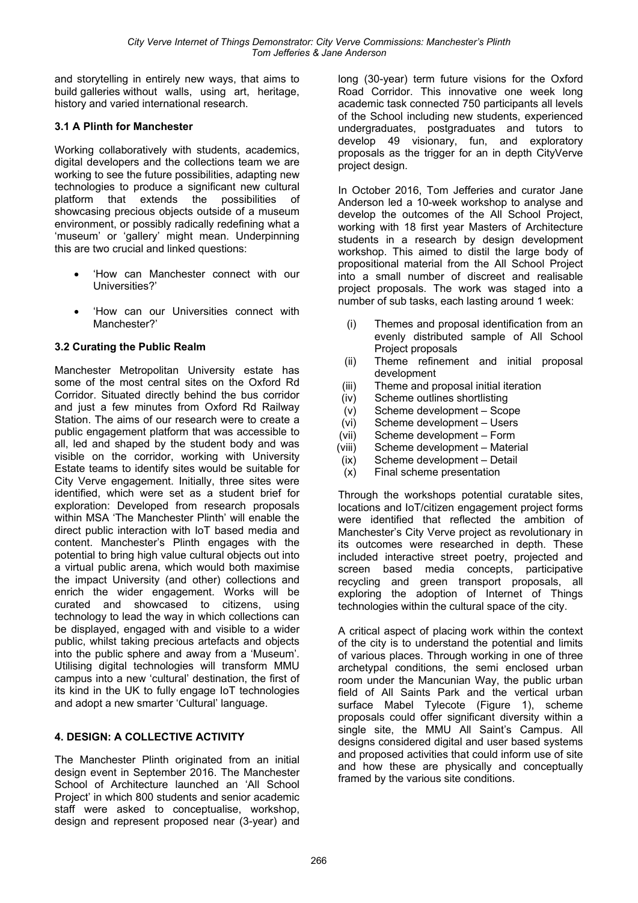and storytelling in entirely new ways, that aims to build galleries without walls, using art, heritage, history and varied international research.

## **3.1 A Plinth for Manchester**

Working collaboratively with students, academics, digital developers and the collections team we are working to see the future possibilities, adapting new technologies to produce a significant new cultural platform that extends the possibilities of showcasing precious objects outside of a museum environment, or possibly radically redefining what a 'museum' or 'gallery' might mean. Underpinning this are two crucial and linked questions:

- 'How can Manchester connect with our Universities?'
- 'How can our Universities connect with Manchester?'

### **3.2 Curating the Public Realm**

Manchester Metropolitan University estate has some of the most central sites on the Oxford Rd Corridor. Situated directly behind the bus corridor and just a few minutes from Oxford Rd Railway Station. The aims of our research were to create a public engagement platform that was accessible to all, led and shaped by the student body and was visible on the corridor, working with University Estate teams to identify sites would be suitable for City Verve engagement. Initially, three sites were identified, which were set as a student brief for exploration: Developed from research proposals within MSA 'The Manchester Plinth' will enable the direct public interaction with IoT based media and content. Manchester's Plinth engages with the potential to bring high value cultural objects out into a virtual public arena, which would both maximise the impact University (and other) collections and enrich the wider engagement. Works will be curated and showcased to citizens, using technology to lead the way in which collections can be displayed, engaged with and visible to a wider public, whilst taking precious artefacts and objects into the public sphere and away from a 'Museum'. Utilising digital technologies will transform MMU campus into a new 'cultural' destination, the first of its kind in the UK to fully engage IoT technologies and adopt a new smarter 'Cultural' language.

## **4. DESIGN: A COLLECTIVE ACTIVITY**

The Manchester Plinth originated from an initial design event in September 2016. The Manchester School of Architecture launched an 'All School Project' in which 800 students and senior academic staff were asked to conceptualise, workshop, design and represent proposed near (3-year) and

long (30-year) term future visions for the Oxford Road Corridor. This innovative one week long academic task connected 750 participants all levels of the School including new students, experienced undergraduates, postgraduates and tutors to develop 49 visionary, fun, and exploratory proposals as the trigger for an in depth CityVerve project design.

In October 2016, Tom Jefferies and curator Jane Anderson led a 10-week workshop to analyse and develop the outcomes of the All School Project, working with 18 first year Masters of Architecture students in a research by design development workshop. This aimed to distil the large body of propositional material from the All School Project into a small number of discreet and realisable project proposals. The work was staged into a number of sub tasks, each lasting around 1 week:

- (i) Themes and proposal identification from an evenly distributed sample of All School Project proposals
- (ii) Theme refinement and initial proposal development
- (iii) Theme and proposal initial iteration
- (iv) Scheme outlines shortlisting
- (v) Scheme development Scope
- (vi) Scheme development Users
- (vii) Scheme development Form
- (viii) Scheme development Material
- (ix) Scheme development Detail
- (x) Final scheme presentation

Through the workshops potential curatable sites, locations and IoT/citizen engagement project forms were identified that reflected the ambition of Manchester's City Verve project as revolutionary in its outcomes were researched in depth. These included interactive street poetry, projected and screen based media concepts, participative recycling and green transport proposals, all exploring the adoption of Internet of Things technologies within the cultural space of the city.

A critical aspect of placing work within the context of the city is to understand the potential and limits of various places. Through working in one of three archetypal conditions, the semi enclosed urban room under the Mancunian Way, the public urban field of All Saints Park and the vertical urban surface Mabel Tylecote (Figure 1), scheme proposals could offer significant diversity within a single site, the MMU All Saint's Campus. All designs considered digital and user based systems and proposed activities that could inform use of site and how these are physically and conceptually framed by the various site conditions.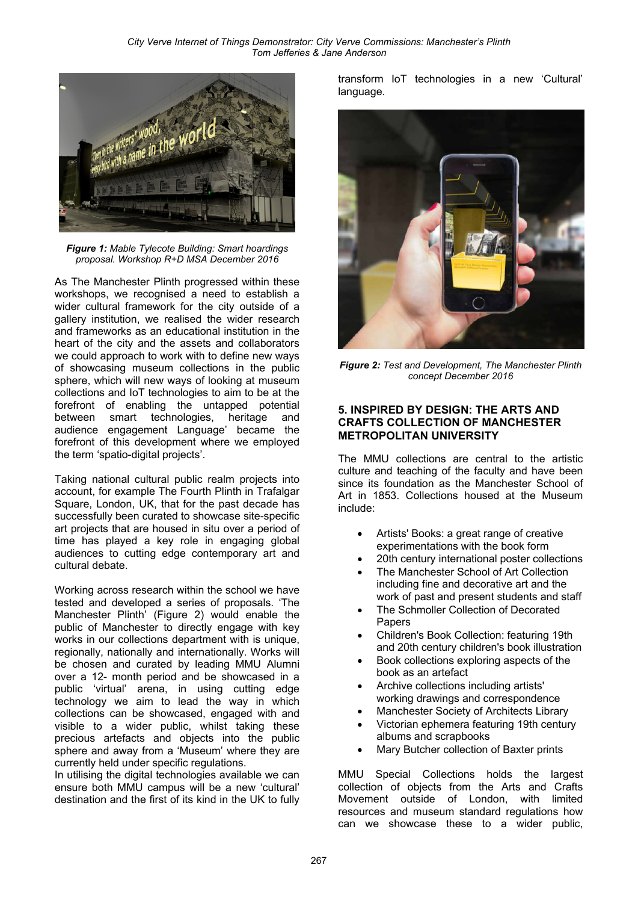

*Figure 1: Mable Tylecote Building: Smart hoardings proposal. Workshop R+D MSA December 2016*

As The Manchester Plinth progressed within these workshops, we recognised a need to establish a wider cultural framework for the city outside of a gallery institution, we realised the wider research and frameworks as an educational institution in the heart of the city and the assets and collaborators we could approach to work with to define new ways of showcasing museum collections in the public sphere, which will new ways of looking at museum collections and IoT technologies to aim to be at the forefront of enabling the untapped potential between smart technologies, heritage and audience engagement Language' became the forefront of this development where we employed the term 'spatio-digital projects'.

Taking national cultural public realm projects into account, for example The Fourth Plinth in Trafalgar Square, London, UK, that for the past decade has successfully been curated to showcase site-specific art projects that are housed in situ over a period of time has played a key role in engaging global audiences to cutting edge contemporary art and cultural debate.

Working across research within the school we have tested and developed a series of proposals. 'The Manchester Plinth' (Figure 2) would enable the public of Manchester to directly engage with key works in our collections department with is unique, regionally, nationally and internationally. Works will be chosen and curated by leading MMU Alumni over a 12- month period and be showcased in a public 'virtual' arena, in using cutting edge technology we aim to lead the way in which collections can be showcased, engaged with and visible to a wider public, whilst taking these precious artefacts and objects into the public sphere and away from a 'Museum' where they are currently held under specific regulations.

In utilising the digital technologies available we can ensure both MMU campus will be a new 'cultural' destination and the first of its kind in the UK to fully transform IoT technologies in a new 'Cultural' language.



*Figure 2: Test and Development, The Manchester Plinth concept December 2016* 

## **5. INSPIRED BY DESIGN: THE ARTS AND CRAFTS COLLECTION OF MANCHESTER METROPOLITAN UNIVERSITY**

The MMU collections are central to the artistic culture and teaching of the faculty and have been since its foundation as the Manchester School of Art in 1853. Collections housed at the Museum include:

- Artists' Books: a great range of creative experimentations with the book form
- 20th century international poster collections
- The Manchester School of Art Collection including fine and decorative art and the work of past and present students and staff
- The Schmoller Collection of Decorated Papers
- Children's Book Collection: featuring 19th and 20th century children's book illustration
- Book collections exploring aspects of the book as an artefact
- Archive collections including artists' working drawings and correspondence
- Manchester Society of Architects Library
- Victorian ephemera featuring 19th century albums and scrapbooks
- Mary Butcher collection of Baxter prints

MMU Special Collections holds the largest collection of objects from the Arts and Crafts Movement outside of London, with limited resources and museum standard regulations how can we showcase these to a wider public,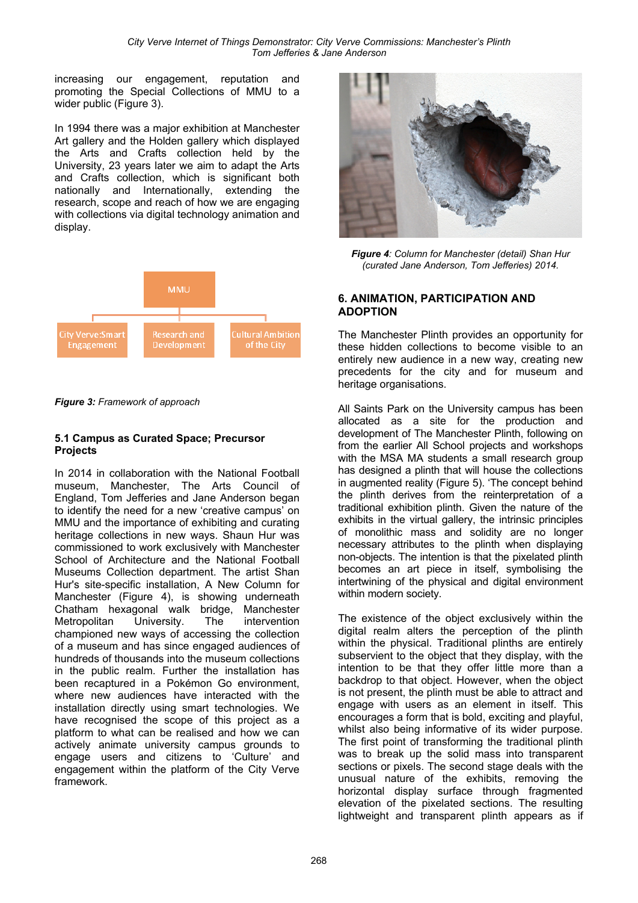increasing our engagement, reputation and promoting the Special Collections of MMU to a wider public (Figure 3).

In 1994 there was a major exhibition at Manchester Art gallery and the Holden gallery which displayed the Arts and Crafts collection held by the University, 23 years later we aim to adapt the Arts and Crafts collection, which is significant both nationally and Internationally, extending the research, scope and reach of how we are engaging with collections via digital technology animation and display.



*Figure 3: Framework of approach*

#### **5.1 Campus as Curated Space; Precursor Projects**

In 2014 in collaboration with the National Football museum, Manchester, The Arts Council of England, Tom Jefferies and Jane Anderson began to identify the need for a new 'creative campus' on MMU and the importance of exhibiting and curating heritage collections in new ways. Shaun Hur was commissioned to work exclusively with Manchester School of Architecture and the National Football Museums Collection department. The artist Shan Hur's site-specific installation, A New Column for Manchester (Figure 4), is showing underneath Chatham hexagonal walk bridge, Manchester Metropolitan University. The intervention championed new ways of accessing the collection of a museum and has since engaged audiences of hundreds of thousands into the museum collections in the public realm. Further the installation has been recaptured in a Pokémon Go environment, where new audiences have interacted with the installation directly using smart technologies. We have recognised the scope of this project as a platform to what can be realised and how we can actively animate university campus grounds to engage users and citizens to 'Culture' and engagement within the platform of the City Verve framework.



*Figure 4: Column for Manchester (detail) Shan Hur (curated Jane Anderson, Tom Jefferies) 2014.* 

#### **6. ANIMATION, PARTICIPATION AND ADOPTION**

The Manchester Plinth provides an opportunity for these hidden collections to become visible to an entirely new audience in a new way, creating new precedents for the city and for museum and heritage organisations.

All Saints Park on the University campus has been allocated as a site for the production and development of The Manchester Plinth, following on from the earlier All School projects and workshops with the MSA MA students a small research group has designed a plinth that will house the collections in augmented reality (Figure 5). 'The concept behind the plinth derives from the reinterpretation of a traditional exhibition plinth. Given the nature of the exhibits in the virtual gallery, the intrinsic principles of monolithic mass and solidity are no longer necessary attributes to the plinth when displaying non-objects. The intention is that the pixelated plinth becomes an art piece in itself, symbolising the intertwining of the physical and digital environment within modern society.

The existence of the object exclusively within the digital realm alters the perception of the plinth within the physical. Traditional plinths are entirely subservient to the object that they display, with the intention to be that they offer little more than a backdrop to that object. However, when the object is not present, the plinth must be able to attract and engage with users as an element in itself. This encourages a form that is bold, exciting and playful, whilst also being informative of its wider purpose. The first point of transforming the traditional plinth was to break up the solid mass into transparent sections or pixels. The second stage deals with the unusual nature of the exhibits, removing the horizontal display surface through fragmented elevation of the pixelated sections. The resulting lightweight and transparent plinth appears as if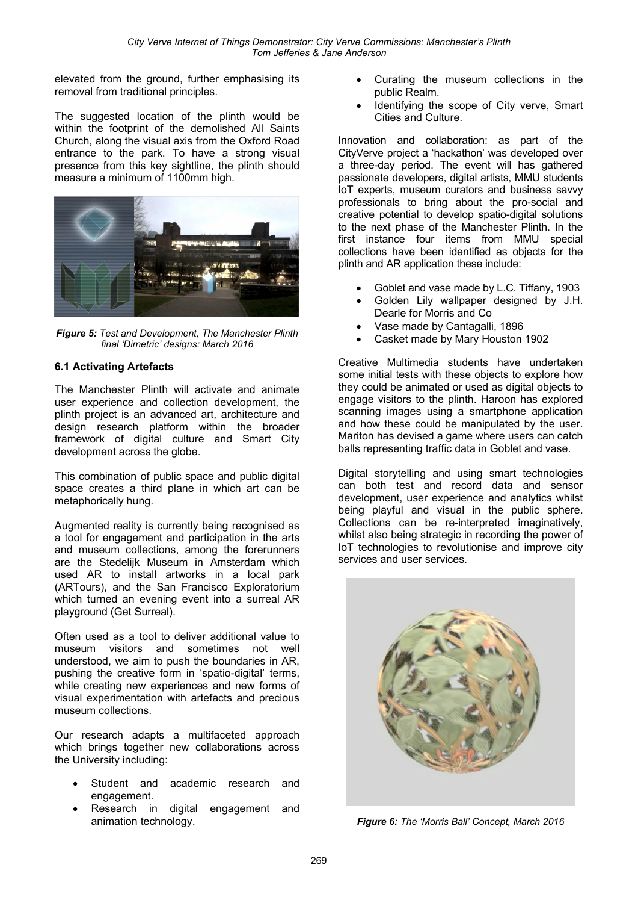elevated from the ground, further emphasising its removal from traditional principles.

The suggested location of the plinth would be within the footprint of the demolished All Saints Church, along the visual axis from the Oxford Road entrance to the park. To have a strong visual presence from this key sightline, the plinth should measure a minimum of 1100mm high.



*Figure 5: Test and Development, The Manchester Plinth final 'Dimetric' designs: March 2016* 

### **6.1 Activating Artefacts**

The Manchester Plinth will activate and animate user experience and collection development, the plinth project is an advanced art, architecture and design research platform within the broader framework of digital culture and Smart City development across the globe.

This combination of public space and public digital space creates a third plane in which art can be metaphorically hung.

Augmented reality is currently being recognised as a tool for engagement and participation in the arts and museum collections, among the forerunners are the Stedelijk Museum in Amsterdam which used AR to install artworks in a local park (ARTours), and the San Francisco Exploratorium which turned an evening event into a surreal AR playground (Get Surreal).

Often used as a tool to deliver additional value to museum visitors and sometimes not well understood, we aim to push the boundaries in AR, pushing the creative form in 'spatio-digital' terms, while creating new experiences and new forms of visual experimentation with artefacts and precious museum collections.

Our research adapts a multifaceted approach which brings together new collaborations across the University including:

- Student and academic research and engagement.
- Research in digital engagement and animation technology.
- Curating the museum collections in the public Realm.
- Identifying the scope of City verve, Smart Cities and Culture.

Innovation and collaboration: as part of the CityVerve project a 'hackathon' was developed over a three-day period. The event will has gathered passionate developers, digital artists, MMU students IoT experts, museum curators and business savvy professionals to bring about the pro-social and creative potential to develop spatio-digital solutions to the next phase of the Manchester Plinth. In the first instance four items from MMU special collections have been identified as objects for the plinth and AR application these include:

- Goblet and vase made by L.C. Tiffany, 1903
- Golden Lily wallpaper designed by J.H. Dearle for Morris and Co
- Vase made by Cantagalli, 1896
- Casket made by Mary Houston 1902

Creative Multimedia students have undertaken some initial tests with these objects to explore how they could be animated or used as digital objects to engage visitors to the plinth. Haroon has explored scanning images using a smartphone application and how these could be manipulated by the user. Mariton has devised a game where users can catch balls representing traffic data in Goblet and vase.

Digital storytelling and using smart technologies can both test and record data and sensor development, user experience and analytics whilst being playful and visual in the public sphere. Collections can be re-interpreted imaginatively, whilst also being strategic in recording the power of IoT technologies to revolutionise and improve city services and user services.



*Figure 6: The 'Morris Ball' Concept, March 2016*